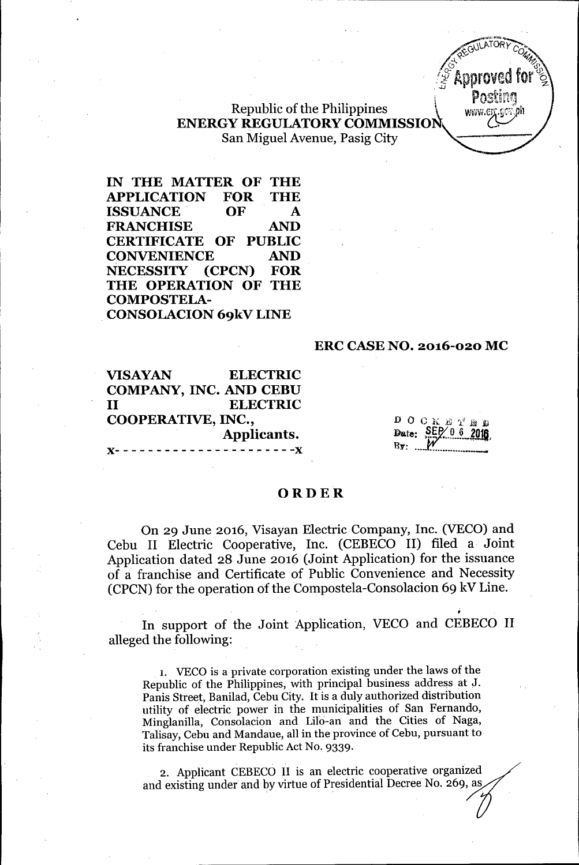

# Republic of the Philippines **ENERGY REGULATORY COMMISSION** San Miguel Avenue, Pasig City

IN THE MATTER OF THE APPLICATION FOR THE ISSUANCE OF A FRANCHISE AND CERTIFICATE OF PUBLIC CONVENIENCE AND NECESSITY (CPCN) FOR THE OPERATION OF THE COMPOSTELA-CONSOLACION 69kV LINE

### ERC CASE NO. 2016-020 MC

VISAYAN ELECTRIC COMPANY, INC. AND CEBU II ELECTRIC COOPERATIVE, INC., Applicants. x-----------------~----x

 $D$   $C$   $K$   $E$   $\gamma'$  a  $n$ Date: SEP  $\mathbf{B} \mathbf{y}: \dots \mathbf{y}$ 

### **ORDER**

On 29 June 2016, Visayan Electric Company, Inc. (VECO) and Cebu II Electric Cooperative, Inc. (CEBECO II) filed a Joint Application dated 28 June 2016 (Joint Application) for the issuance of a franchise and Certificate of Public Convenience and Necessity  $(CPCN)$  for the operation of the Compostela-Consolacion 69 kV Line.

In support of the Joint Application, VECO and CEBECO II alleged the following:

1. VECO is a private corporation existing under the laws of the Republic of the Philippines, with principal business address at J. Panis Street, Banilad, Cebu City. It is a duly authorized distribution utility of electric power in the municipalities of San Fernando, Minglanilla, Consolacion and Lilo-an and the Cities of Naga, Talisay, Cebu and Mandaue, all in the province of Cebu, pursuant to its franchise under Republic Act No. 9339. power in the musdial<br>solacion and Lilo<br>Mandaue, all in th<br>r Republic Act No.<br>CEBECO II is an<br>rr and by virtue of do,<br>ga,<br>t to<br>zed<br>, as

and existing under and by virtue of Presidential Decree No. 269, as  $\!\!\mathscr{S}\!\!\!\mathscr{S}$ 2. Applicant CEBECO II is an electric cooperative organized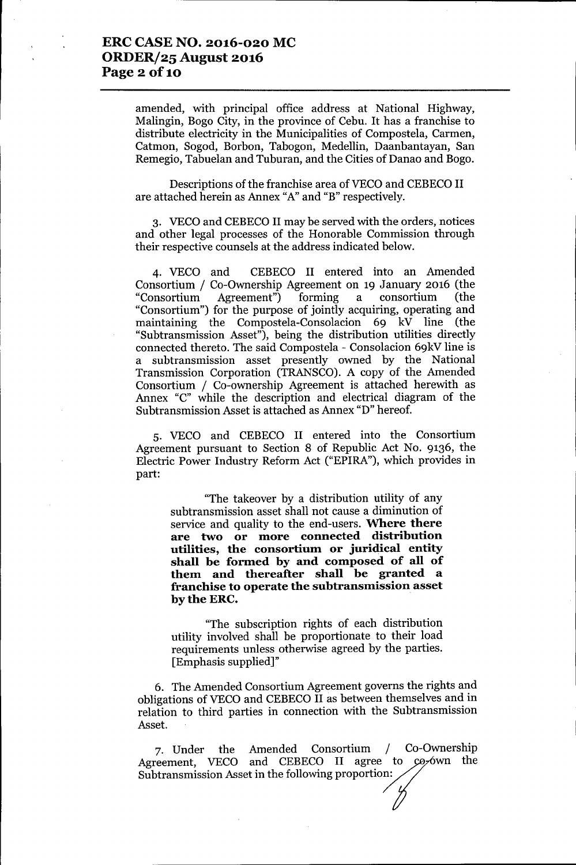### **ERC CASE NO. 2016-020 MC** *ORDERj25* **August 2016 Page 2** of 10

amended, with principal office address at National Highway, Malingin, Bogo City, in the province of Cebu. It has a franchise to distribute electricity in the Municipalities of Compostela, Carmen, Catmon, Sogod, Borbon, Tabogon, Medellin, Daanbantayan, San Remegio, Tabuelan and Tuburan, and the Cities of Danao and Bogo.

Descriptions of the franchise area of VECO and CEBECO II are attached herein as Annex "A" and "B" respectively.

3. VECO and CEBECO II may be served with the orders, notices and other legal processes of the Honorable Commission through their respective counsels at the address indicated below.

4. VECO and CEBECO II entered into an Amended Consortium / Co-Ownership Agreement on 19 January 2016 (the "Consortium Agreement") forming a consortium (the "Consortium") for the purpose of jointly acquiring, operating and maintaining the Compostela-Consolacion 69  $k\bar{V}$  line (the "Subtransmission Asset"), being the distribution utilities directly connected thereto. The said Compostela - Consolacion 69kV line is a subtransmission asset presently owned by the National Transmission Corporation (TRANSCO). A copy of the Amended Consortium / Co-ownership Agreement is attached herewith as Annex "c" while the description and electrical diagram of the Subtransmission Asset is attached as Annex "D" hereof.

5. VECO and CEBECO II entered into the Consortium Agreement pursuant to Section 8 of Republic Act No. 9136, the Electric Power Industry Reform Act ("EPIRA"), which provides in part:

"The takeover by a distribution utility of any subtransmission asset shall not cause a diminution of service and quality to the end-users. **Where there are two or more connected distribution utilities, the consortium or juridical entity shall be formed by and composed of all of them and thereafter shall be granted a franchise to operate the subtransmission asset bytheERC. .**

"The subscription rights of each distribution utility involved shall be proportionate to their load requirements unless otherwise agreed by the parties. [Emphasis supplied]"

6. The Amended Consortium Agreement governs the rights and obligations of VECO and CEBECO II as between themselves and in relation to third parties in connection with the Subtransmission Asset.

7. Under the Amended Consortium / Co-Ownership<br>reement. VECO and CEBECO II agree to co-own the Agreement, VECO and CEBECO II agree to Subtransmission Asset in the following proportion: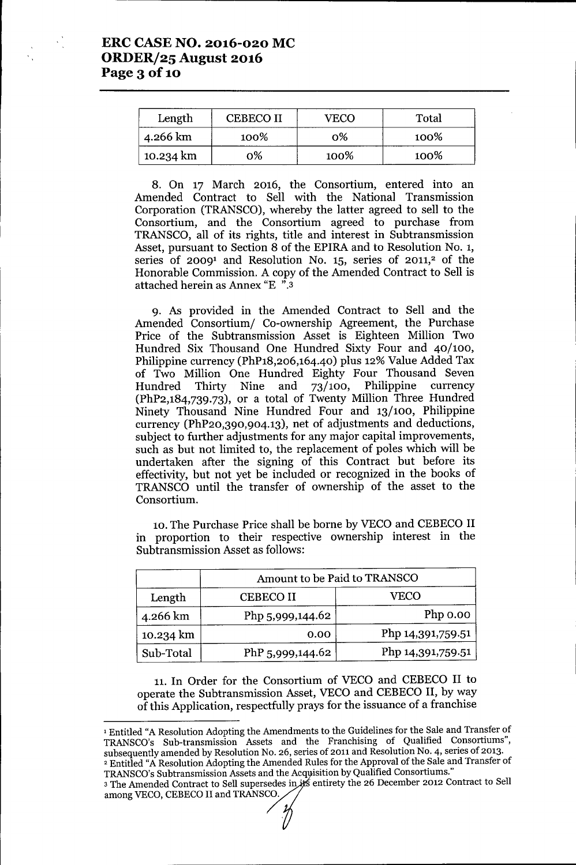| Length    | <b>CEBECO II</b> | ÆCO  | Total |
|-----------|------------------|------|-------|
| 4.266 km  | 100%             | ი%   | 100%  |
| 10.234 km | 0%               | 100% | 100%  |

8. On 17 March 2016, the Consortium, entered into an Amended Contract to Sell with the National Transmission Corporation (TRANSCO), whereby the latter agreed to sell to the Consortium, and the Consortium agreed to purchase from TRANSCO, all of its rights, title and interest in Subtransmission Asset, pursuant to Section 8 of the EPIRA and to Resolution NO.1, series of 2009<sup>1</sup> and Resolution No. 15, series of 2011,<sup>2</sup> of the Honorable Commission. A copy of the Amended Contract to Sell is attached herein as Annex "E ".3

9. As provided in the Amended Contract to Sell and the Amended Consortium/ Co-ownership Agreement, the Purchase Price of the Subtransmission Asset is Eighteen Million Two Hundred Six Thousand One Hundred Sixty Four and 40/100, Philippine currency (PhP18,206,164.40) plus 12% Value Added Tax of Two Million One Hundred Eighty Four Thousand Seven Hundred Thirty Nine and 73/100, Philippine currency (PhP2,184,739.73), or a total of Twenty Million Three Hundred Ninety Thousand Nine Hundred Four and 13/100, Philippine currency (PhP20,390,904.13), net of adjustments and deductions, subject to further adjustments for any major capital improvements, such as but not limited to, the replacement of poles which will be undertaken after the signing of this Contract but before its effectivity, but not yet be included or recognized in the books of TRANSCO until the transfer of ownership of the asset to the Consortium.

10. The Purchase Price shall be borne by VECO and CEBECO II in proportion to their respective ownership interest in the Subtransmission Asset as follows:

|           | Amount to be Paid to TRANSCO |                   |  |
|-----------|------------------------------|-------------------|--|
| Length    | <b>CEBECO II</b>             | VECO              |  |
| 4.266 km  | Php 5,999,144.62             | Php 0.00          |  |
| 10.234 km | 0.00                         | Php 14,391,759.51 |  |
| Sub-Total | PhP 5,999,144.62             | Php 14,391,759.51 |  |

11.In Order for the Consortium of VECO and CEBECO II to operate the Subtransmission Asset, VECO and CEBECO II, by way of this Application, respectfully prays for the issuance of a franchise

<sup>1</sup> Entitled "A Resolution Adopting the Amendments to the Guidelines for the Sale and Transfer of TRANSCO's Sub-transmission Assets and the Franchising of Qualified Consortiums", subsequently amended by Resolution No. 26, series of 2011 and Resolution NO.4, series of 2013. <sup>2</sup> Entitled "A Resolution Adopting the Amended Rules for the Approval of the Sale and Transfer of TRANSCO's Subtransmission Assets and the Acquisition by Qualified Consortiums."

3 The Amended Contract to Sell supersedes in  $#$  entirety the 26 December 2012 Contract to Sell among VECO, CEBECO II and TRANSCO.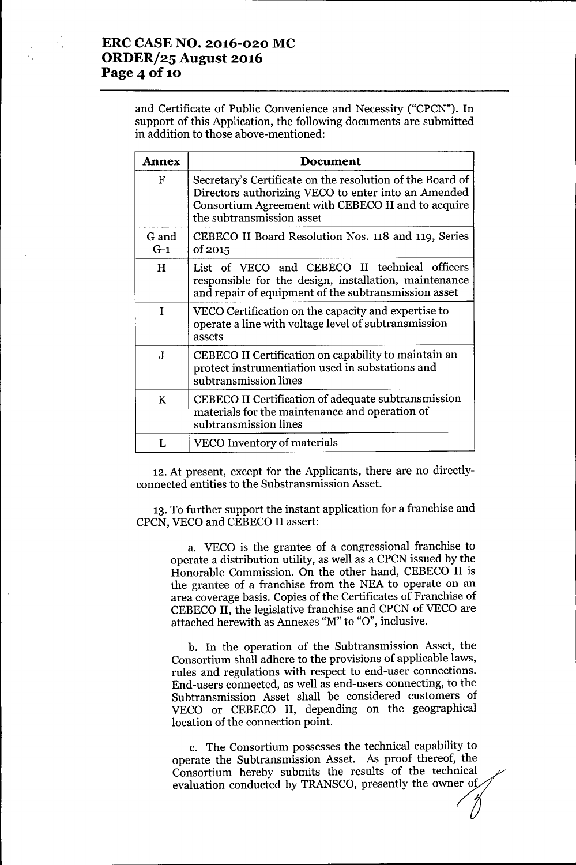and Certificate of Public Convenience and Necessity ("CPCN"). **In** support of this Application, the following documents are submitted in addition to those above-mentioned:

| <b>Annex</b>              | Document                                                                                                                                                                                            |
|---------------------------|-----------------------------------------------------------------------------------------------------------------------------------------------------------------------------------------------------|
| $\boldsymbol{\mathrm{F}}$ | Secretary's Certificate on the resolution of the Board of<br>Directors authorizing VECO to enter into an Amended<br>Consortium Agreement with CEBECO II and to acquire<br>the subtransmission asset |
| G and<br>$G-1$            | CEBECO II Board Resolution Nos. 118 and 119, Series<br>of 2015                                                                                                                                      |
| H                         | List of VECO and CEBECO II technical officers<br>responsible for the design, installation, maintenance<br>and repair of equipment of the subtransmission asset                                      |
| I                         | VECO Certification on the capacity and expertise to<br>operate a line with voltage level of subtransmission<br>assets                                                                               |
| J                         | CEBECO II Certification on capability to maintain an<br>protect instrumentiation used in substations and<br>subtransmission lines                                                                   |
| K                         | CEBECO II Certification of adequate subtransmission<br>materials for the maintenance and operation of<br>subtransmission lines                                                                      |
| L                         | VECO Inventory of materials                                                                                                                                                                         |

12.At present, except for the Applicants, there are no directlyconnected entities to the Substransmission Asset.

13. To further support the instant application for a franchise and CPCN, VECO and CEBECO II assert:

a. VECO is the grantee of a congressional franchise to operate a distribution utility, as well as a CPCN issued by the Honorable Commission. On the other hand, CEBECO II is the grantee of a franchise from the NEA to operate on an area coverage basis. Copies of the Certificates of Franchise of CEBECO II, the legislative franchise and CPCN of VECO are attached herewith as Annexes "M" to "O", inclusive.

b. **In** the operation of the Subtransmission Asset, the Consortium shall adhere to the provisions of applicable laws, rules and regulations with respect to end-user connections. End-users connected, as well as end-users connecting, to the Subtransmission Asset shall be considered customers of VECO or CEBECO II, depending on the geographical location of the connection point.

c. The Consortium possesses the technical capability to operate the Subtransmission Asset. As proof thereof, the Consortium hereby submits the results of the technical evaluation conducted by TRANSCO, presently the owner of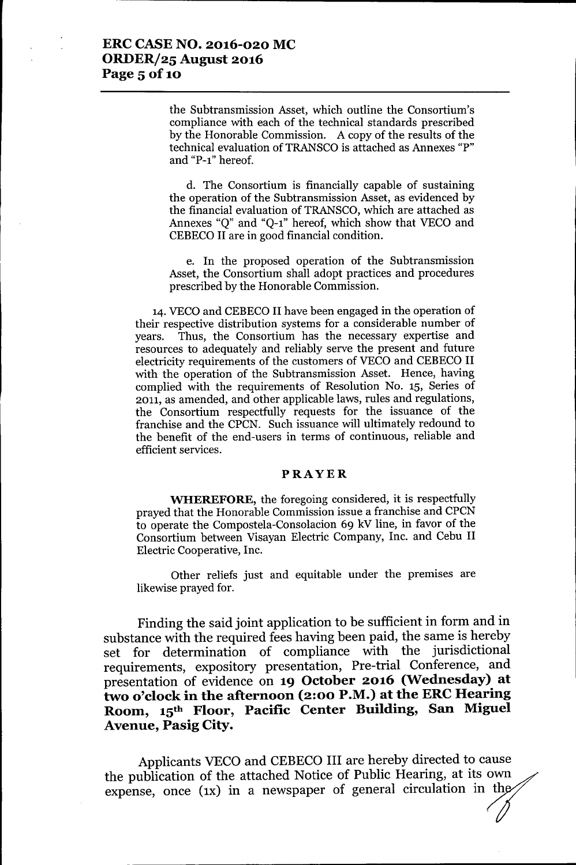### ERCCASENO. 2016-020 MC ORDER/25 August 2016 Page 5 of 10

the Subtransmission Asset, which outline the Consortium's compliance with each of the technical standards prescribed by the Honorable Commission. A copy of the results of the technical evaluation of TRANSCO is attached as Annexes "P" and "P-l" hereof.

d. The Consortium is financially capable of sustaining the operation of the Subtransmission Asset, as evidenced by the financial evaluation of TRANSCO,which are attached as Annexes "Q" and "Q-l" hereof, which show that VECO and CEBECO II are in good financial condition.

e. In the proposed operation of the Subtransmission Asset, the Consortium shall adopt practices and procedures prescribed by the Honorable Commission.

14. VECO and CEBECO II have been engaged in the operation of their respective distribution systems for a considerable number of years. Thus, the Consortium has the necessary expertise and resources to adequately and reliably serve the present and future electricity requirements of the customers of VECO and CEBECO II with the operation of the Subtransmission Asset. Hence, having complied with the requirements of Resolution No. 15, Series of 2011, as amended, and other applicable laws, rules and regulations, the Consortium respectfully requests for the issuance of the franchise and the CPCN. Such issuance will ultimately redound to the benefit of the end-users in terms of continuous, reliable and efficient services.

#### PRAYER

WHEREFORE, the foregoing considered, it is respectfully prayed that the Honorable Commission issue a franchise and CPCN to operate the Compostela-Consolacion 69 kV line, in favor of the Consortium between Visayan Electric Company, Inc. and Cebu II Electric Cooperative, Inc.

Other reliefs just and equitable under the premises are likewise prayed for.

Finding the said joint application to be sufficient in form and in substance with the required fees having been paid, the same is hereby set for determination of compliance with the jurisdictional requirements, expository presentation, Pre-trial Conference, and presentation of evidence on 19 October 2016 (Wednesday) at two o'clock in the afternoon (2:00 P.M.) at the ERC Hearing Room, 15th Floor, Pacific Center Building, San Miguel Avenue, Pasig City.

Applicants VECO and CEBECO III are hereby directed to cause the publication of the attached Notice of Public Hearing, at its own expense, once (1x) in a newspaper of general circulation in the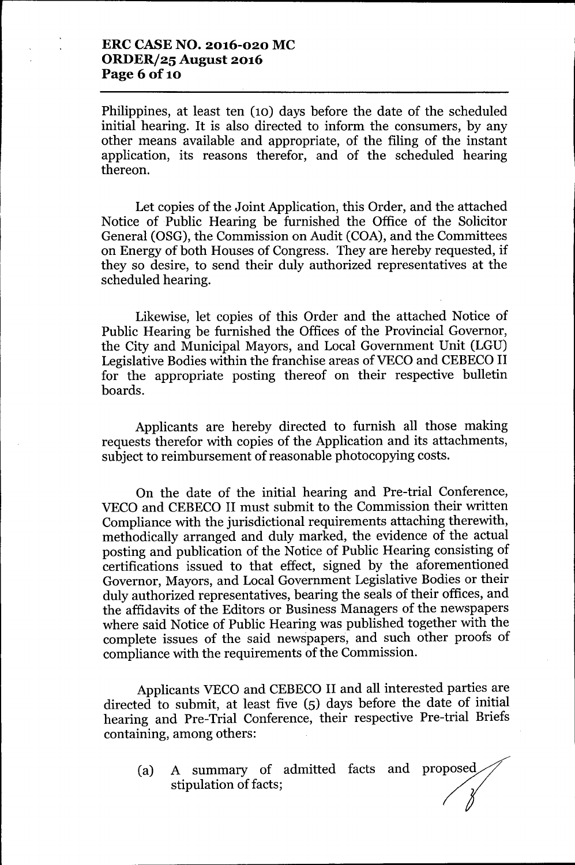## **ERCCASENO. 2016-020 MC ORDER/25 August 2016 Page** 6 of 10

Philippines, at least ten (10) days before the date of the scheduled initial hearing. It is also directed to inform the consumers, by any other means available and appropriate, of the filing of the instant application, its reasons therefor, and of the scheduled hearing thereon.

Let copies of the Joint Application, this Order, and the attached Notice of Public Hearing be furnished the Office of the Solicitor General (OSG), the Commission on Audit (COA), and the Committees on Energy of both Houses of Congress. They are hereby requested, if they so desire, to send their duly authorized representatives at the scheduled hearing.

Likewise, let copies of this Order and the attached Notice of Public Hearing be furnished the Offices of the Provincial Governor, the City and Municipal Mayors, and Local Government Unit (LGU) Legislative Bodies within the franchise areas of VECO and CEBECO II for the appropriate posting thereof on their respective bulletin boards.

Applicants are hereby directed to furnish all those making requests therefor with copies of the Application and its attachments, subject to reimbursement of reasonable photocopying costs.

On the date of the initial hearing and Pre-trial Conference, VECO and CEBECO II must submit to the Commission their written Compliance with the jurisdictional requirements attaching therewith, methodically arranged and duly marked, the evidence of the actual posting and publication of the Notice of Public Hearing consisting of certifications issued to that effect, signed by the aforementioned Governor, Mayors, and Local Government Legislative Bodies or their duly authorized representatives, bearing the seals of their offices, and the affidavits of the Editors or Business Managers of the newspapers where said Notice of Public Hearing was published together with the complete issues of the said newspapers, and such other proofs of compliance with the requirements of the Commission.

Applicants VECO and CEBECO II and all interested parties are directed to submit, at least five (5) days before the date of initial hearing and Pre-Trial Conference, their respective Pre-trial Briefs containing, among others:

(a) A summary of admitted facts and proposed stipulation of facts;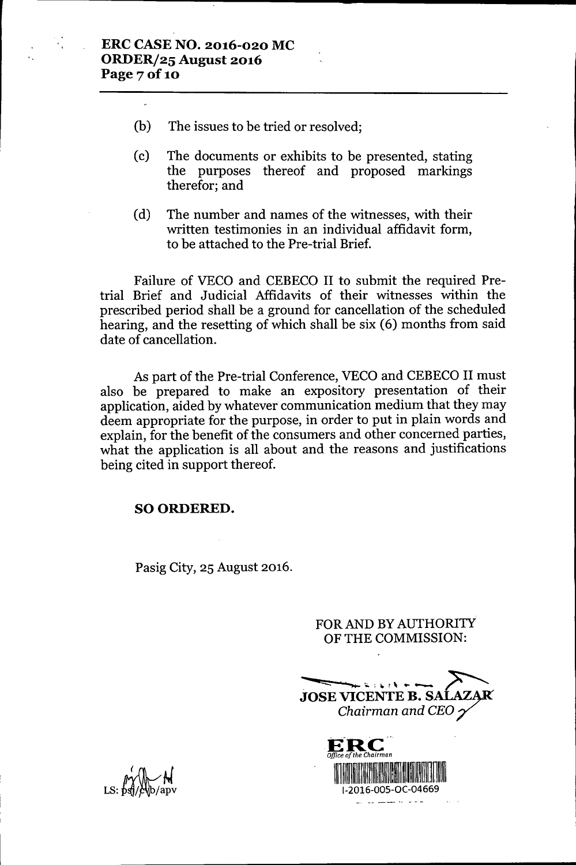- (b) The issues to be tried or resolved;
- (c) The documents or exhibits to be presented, stating the purposes thereof and proposed markings therefor; and
- (d) The number and names of the witnesses, with their written testimonies in an individual affidavit form, to be attached to the Pre-trial Brief.

Failure of VECO and CEBECO II to submit the required Pretrial Brief and Judicial Affidavits of their witnesses within the prescribed period shall be a ground for cancellation of the scheduled hearing, and the resetting of which shall be six (6) months from said date of cancellation.

As part of the Pre-trial Conference, VECO and CEBECO II must also be prepared to make an expository presentation of their application, aided by whatever communication medium that they may deem appropriate for the purpose, in order to put in plain words and explain, for the benefit of the consumers and other concerned parties, what the application is all about and the reasons and justifications being cited in support thereof.

### SO ORDERED.

Pasig City, 25 August 2016.

FOR AND BY AUTHORITY OF THE COMMISSION:

**-. z::::::: ...,...:,;..: -.** <sup>t</sup> \I •• ....-. ,.<sup>~</sup> \_ <sup>~</sup> **JOSE VICENTE B. SALAZAR** *Chairman and CEO7'*

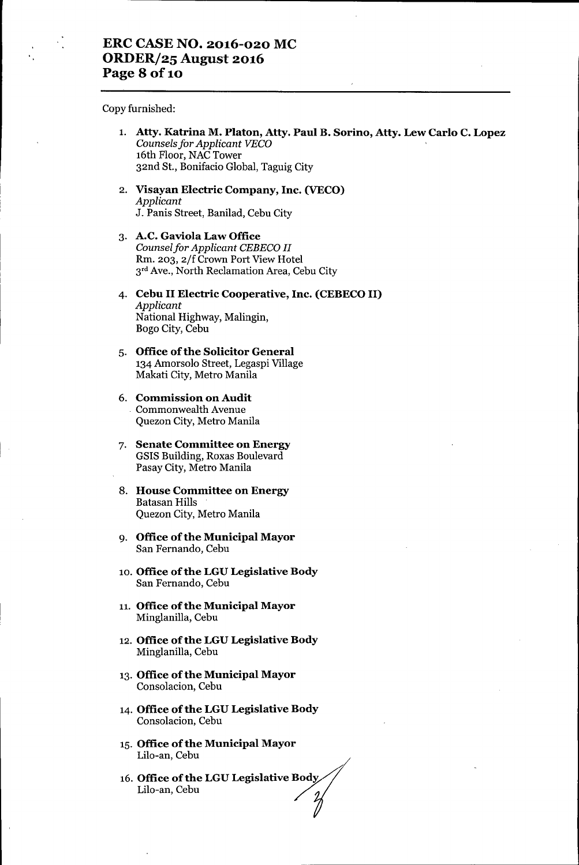Copy furnished:

- 1. **Atty. Katrina M. Platon, Atty. Paul B. Sorino, Atty. Lew Carlo C. Lopez** *Counsels for Applicant VEca* 16th Floor, NAC Tower 32nd St., Bonifacio Global, Taguig City
- 2. **Visayan Electric Company, Inc. (VECO)** *Applicant* J. Panis Street, Banilad, Cebu City
- 3. **A.C. Gaviola Law Office** *Counselfor Applicant CEBECa II* Rm. 203, *2ff* Crown Port View Hotel 3<sup>rd</sup> Ave., North Reclamation Area, Cebu City
- 4. **Cebu II Electric Cooperative, Inc. (CEBECOII)** *Applicant* National Highway, Malingin, Bogo City, Cebu
- 5. **Office** of the **Solicitor General** 134 Amorsolo Street, Legaspi Village Makati City, Metro Manila
- 6. **Commission on Audit** . Commonwealth Avenue Quezon City, Metro Manila
- 7. **Senate Committee on Energy** GSIS Building, Roxas Boulevard Pasay City, Metro Manila
- 8. **House Committee on Energy** Batasan Hills Quezon City, Metro Manila
- 9. **Office ofthe Municipal Mayor** San Fernando, Cebu
- 10. Office of the LGU Legislative Body San Fernando, Cebu
- 11. **Office** of the **Municipal Mayor** Minglanilla, Cebu
- 12. **Office ofthe LGU Legislative Body** Minglanilla, Cebu
- 13. **Office ofthe Municipal Mayor** Consolacion, Cebu
- 14. **Office** of the **LGU Legislative Body** Consolacion, Cebu
- 15. **Office** of the **Municipal Mayor** Lilo-an, Cebu
- 16. **Office of the LGU Legislative Body**<br>
Lilo-an, Cebu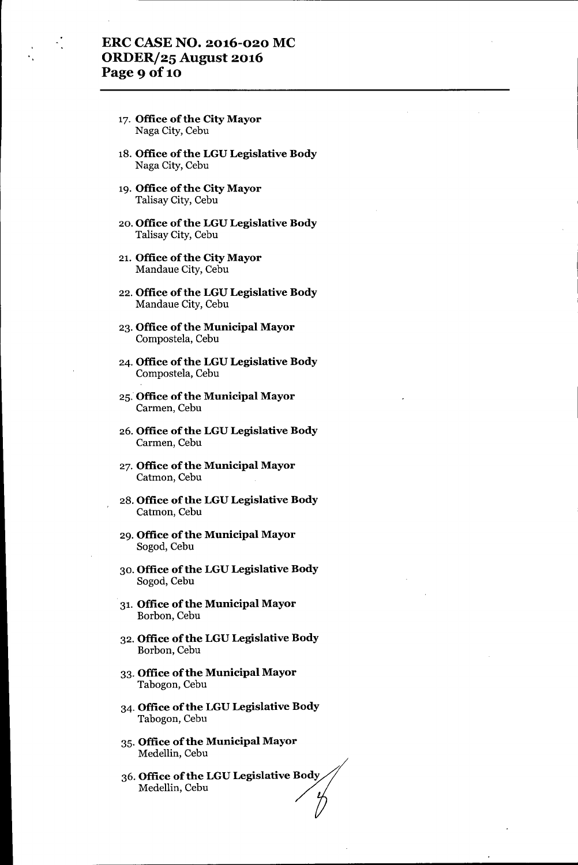# **ERC CASE NO. 2016-020 MC ORDER/25 August 2016 Page 9 Of10**

- 17. **Office** of the **City Mayor** Naga City, Cebu
- 18. **Office** of the **LGU Legislative Body** Naga City, Cebu
- 19. **Office** of the **City Mayor** Talisay City, Cebu
- 20. **Office ofthe LGU Legislative Body** Talisay City, Cebu
- 21. **Office** of the **City Mayor** Mandaue City, Cebu
- 22. **Office ofthe LGU Legislative Body** Mandaue City, Cebu
- 23. **Office** of the **Municipal Mayor** Compostela, Cebu
- 24. **Office** of the **LGU Legislative Body** Compostela, Cebu
- 25. **Office ofthe Municipal Mayor** Carmen, Cebu
- 26. **Office** of the **LGULegislative Body** Carmen, Cebu
- 27. **Office ofthe Municipal Mayor** Catmon, Cebu
- 28. **Office ofthe LGU Legislative Body** Catmon, Cebu
- 29. **Office** of the **Municipal Mayor** Sogod, Cebu
- 30. **Office ofthe LGU Legislative Body** Sogod, Cebu
- 31. **Office** of the **Municipal Mayor** Borbon, Cebu
- 32. **Office** of the **LGU Legislative Body** Borbon, Cebu
- 33.**Office** of the **Municipal Mayor** Tabogon, Cebu
- 34. **Office ofthe LGU Legislative Body** Tabogon, Cebu
- 35. **Office ofthe Municipal Mayor** Medellin, Cebu
- 35. **Office of the municipal mayor**<br>Medellin, Cebu<br>36. **Office of the LGU Legislative Body** Medellin, Cebu<br>**Office of the LGU Legislative Body**<br>Medellin, Cebu